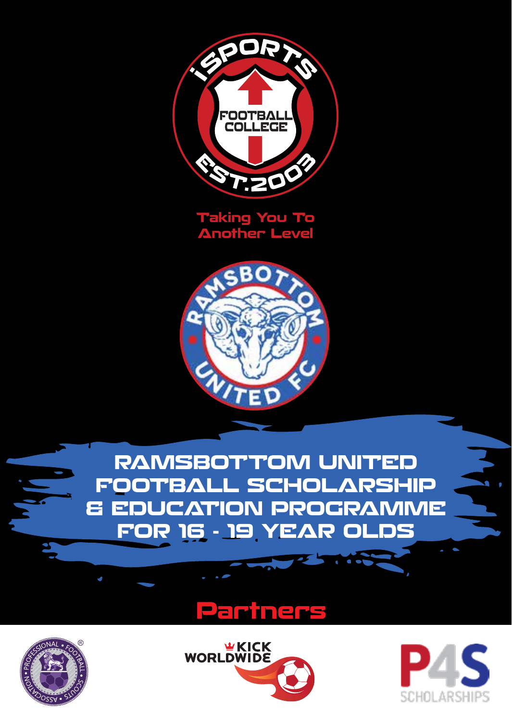

**Taking You To Another Level**



**RAMSBOTTOM UNITED FOOTBALL SCHOLARSHIP & EDUCATION PROGRAMME FOR 16 - 19 YEAR OLDS**

## **Partners**







**PO**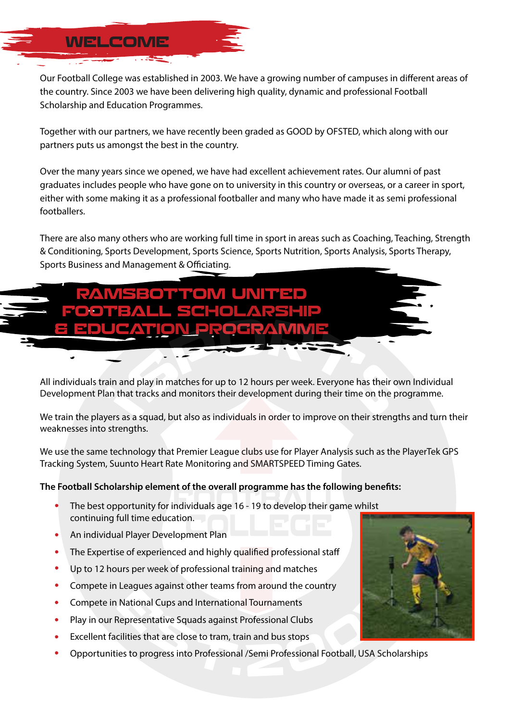#### Our Football College was established in 2003. We have a growing number of campuses in different areas of the country. Since 2003 we have been delivering high quality, dynamic and professional Football Scholarship and Education Programmes.

Together with our partners, we have recently been graded as GOOD by OFSTED, which along with our partners puts us amongst the best in the country.

Over the many years since we opened, we have had excellent achievement rates. Our alumni of past graduates includes people who have gone on to university in this country or overseas, or a career in sport, either with some making it as a professional footballer and many who have made it as semi professional footballers.

There are also many others who are working full time in sport in areas such as Coaching, Teaching, Strength & Conditioning, Sports Development, Sports Science, Sports Nutrition, Sports Analysis, Sports Therapy, Sports Business and Management & Officiating.



All individuals train and play in matches for up to 12 hours per week. Everyone has their own Individual : Plan that tracks and monitors their development during their time on the prograi All individuals train and play in matches for up to 12 hours per week. Everyone has their own Individi<br>Development Plan that tracks and monitors their development during their time on the programme. amet, consectetuer adipiscing

We train the players as a squad, but also as individuals in order to improve on their strengths and turn their<br>Weaknesses into strengths do consequente do consequente do consequente do consequente do consequente do consequente do consequente do co<br>Durante do consequente do consequente do consequente do consequente do consequente do consequente do consequen weaknesses into strengths.

We use the same technology that Premier League clubs use for Player Analysis such as the PlayerTek GPS ig System, Suunto Heart Rate Monitoring and SMARTSPEED Timing Gates. We use the same technology that Premier League clubs use for Player Analysis si<br>Tracking System, Suunto Heart Rate Monitoring and SMARTSPEED Timing Gates. enim ad minim veniam, quis nostrud exerci

## The Football Scholarship element of the overall programme has the following benefits:<br>**The Football** Scholarship element of the overall programme has the following benefits:

- The best opportunity for individuals age 16 19 to develop their game whilst Lorem insulation and constitution and constitution and constitution and constitution and continuing eliteration.
- diam nonummy nibh european diam non-tincidual Player Development Plan autem verled en de vel en de vel en de vel en de vel en de vel en de vel en de vel en de vel en de vel en de v<br>An individual Player Development Plan

**WELCOME**

- The Expertise of experienced and highly qualified professional staff and many  $\mathcal{L}(\mathcal{A})$ with an idea indigent consequence in an<br>The Expertise of experienced and highly qualified professional staff
- p to 12 hours per week of professional training and matches vel in the interest of the interest and majory qualified processional star.<br>Up to 12 hours per week of professional training and matches
- ipete in Leagues against other teams from around the co are to constant per country processes a cannot an increase the country<br>Compete in Leagues against other teams from around the country
- Lorem in National Cups and International Tournaments and the consection  $\mathbf{C}$ odio dignissim qui blandit Compete in National Cups and International Tournaments
- Representative Squads against Professional Clubs enters<br>Play in our Representative Squads against Professional Clubs
- Excellent facilities that are close to tram, train and bus stops
- Opportunities to progress into Professional /Semi Professional Football, USA Scholarships<br>.

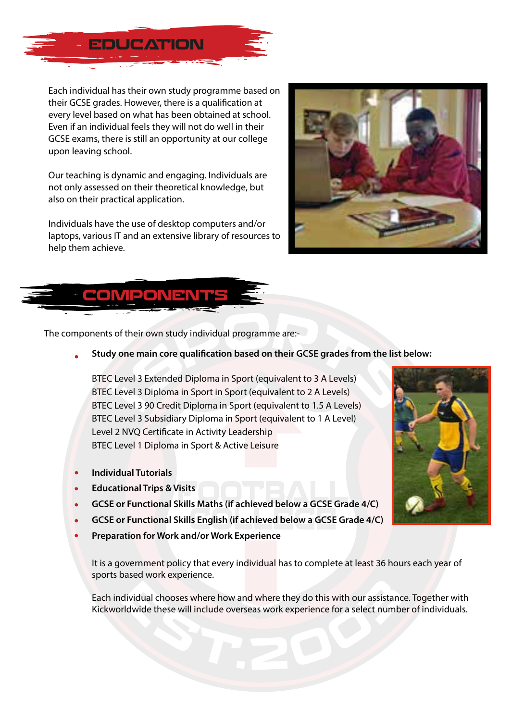

Each individual has their own study programme based on their GCSE grades. However, there is a qualification at every level based on what has been obtained at school. Even if an individual feels they will not do well in their GCSE exams, there is still an opportunity at our college upon leaving school.

Our teaching is dynamic and engaging. Individuals are not only assessed on their theoretical knowledge, but also on their practical application.

Individuals have the use of desktop computers and/or laptops, various IT and an extensive library of resources to help them achieve.





The components of their own study individual programme are:-

Study one main core qualification based on their GCSE grades from the list below:

BTEC Level 3 Extended Diploma in Sport (equivalent to 3 A Levels) BTEC Level 3 Diploma in Sport in Sport (equivalent to 2 A Levels) BTEC Level 3 90 Credit Diploma in Sport (equivalent to 1.5 A Levels) BTEC Level 3 Subsidiary Diploma in Sport (equivalent to 1 A Level) Level 2 NVO Certificate in Activity Leadership BTEC Level 1 Diploma in Sport & Active Leisure

- **Individual Tutorials**
- **Educational Trips & Visits**
- **GCSE or Functional Skills Maths (if achieved below a GCSE Grade 4/C)**
- **GCSE or Functional Skills English (if achieved below a GCSE Grade 4/C)**
- **Preparation for Work and/or Work Experience**

It is a government policy that every individual has to complete at least 36 hours each year of sports based work experience.

Each individual chooses where how and where they do this with our assistance. Together with Kickworldwide these will include overseas work experience for a select number of individuals.